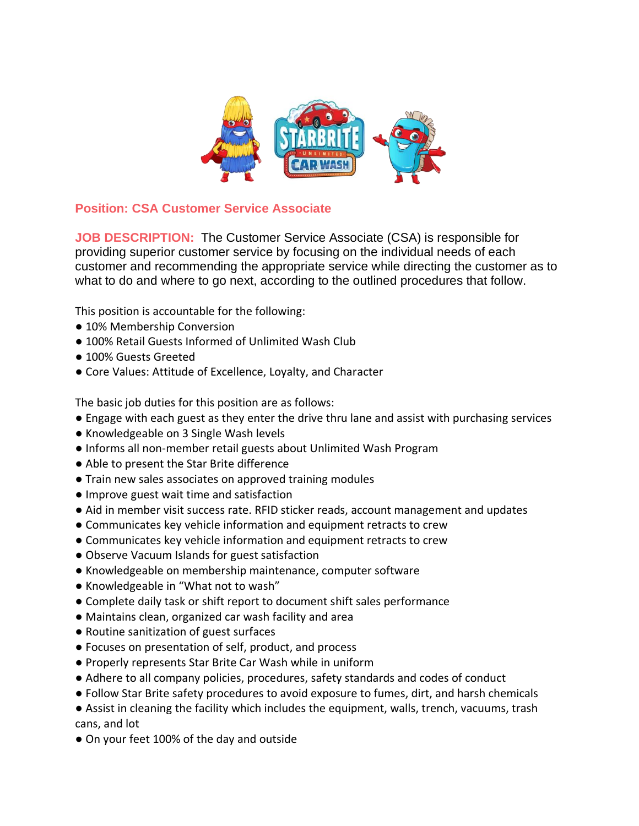

## **Position: CSA Customer Service Associate**

**JOB DESCRIPTION:** The Customer Service Associate (CSA) is responsible for providing superior customer service by focusing on the individual needs of each customer and recommending the appropriate service while directing the customer as to what to do and where to go next, according to the outlined procedures that follow.

This position is accountable for the following:

- 10% Membership Conversion
- 100% Retail Guests Informed of Unlimited Wash Club
- 100% Guests Greeted
- Core Values: Attitude of Excellence, Loyalty, and Character

The basic job duties for this position are as follows:

- Engage with each guest as they enter the drive thru lane and assist with purchasing services
- Knowledgeable on 3 Single Wash levels
- Informs all non-member retail guests about Unlimited Wash Program
- Able to present the Star Brite difference
- Train new sales associates on approved training modules
- Improve guest wait time and satisfaction
- Aid in member visit success rate. RFID sticker reads, account management and updates
- Communicates key vehicle information and equipment retracts to crew
- Communicates key vehicle information and equipment retracts to crew
- Observe Vacuum Islands for guest satisfaction
- Knowledgeable on membership maintenance, computer software
- Knowledgeable in "What not to wash"
- Complete daily task or shift report to document shift sales performance
- Maintains clean, organized car wash facility and area
- Routine sanitization of guest surfaces
- Focuses on presentation of self, product, and process
- Properly represents Star Brite Car Wash while in uniform
- Adhere to all company policies, procedures, safety standards and codes of conduct
- Follow Star Brite safety procedures to avoid exposure to fumes, dirt, and harsh chemicals
- Assist in cleaning the facility which includes the equipment, walls, trench, vacuums, trash cans, and lot
- On your feet 100% of the day and outside